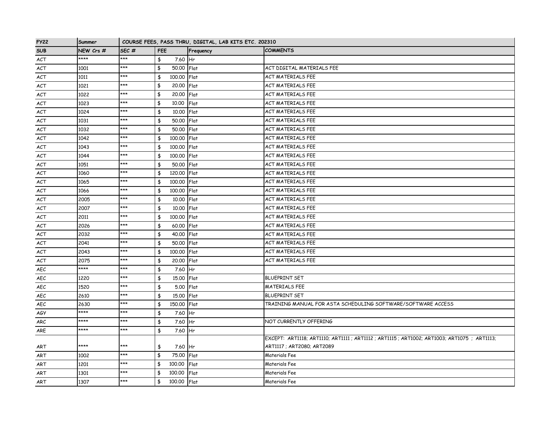| <b>FY22</b> | Summer    |                  |                              | COURSE FEES, PASS THRU, DIGITAL, LAB KITS ETC. 202310 |                                                                                              |
|-------------|-----------|------------------|------------------------------|-------------------------------------------------------|----------------------------------------------------------------------------------------------|
| <b>SUB</b>  | NEW Crs # | SEC <sub>#</sub> | <b>FEE</b>                   | Frequency                                             | <b>COMMENTS</b>                                                                              |
| ACT         | ****      | ***              | \$<br>7.60 Hr                |                                                       |                                                                                              |
| ACT         | 1001      | ***              | \$<br>50.00 Flat             |                                                       | ACT DIGITAL MATERIALS FEE                                                                    |
| ACT         | 1011      | ***              | $\frac{4}{3}$<br>100.00 Flat |                                                       | <b>ACT MATERIALS FEE</b>                                                                     |
| ACT         | 1021      | ***              | \$<br>20.00 Flat             |                                                       | ACT MATERIALS FEE                                                                            |
| ACT         | 1022      | ***              | \$<br>20.00 Flat             |                                                       | <b>ACT MATERIALS FEE</b>                                                                     |
| <b>ACT</b>  | 1023      | ***              | \$<br>10.00                  | Flat                                                  | <b>ACT MATERIALS FEE</b>                                                                     |
| ACT         | 1024      | $***$            | \$<br>10.00 Flat             |                                                       | <b>ACT MATERIALS FEE</b>                                                                     |
| ACT         | 1031      | ***              | \$<br>50.00 Flat             |                                                       | <b>ACT MATERIALS FEE</b>                                                                     |
| ACT         | 1032      | $***$            | \$<br>50,00 Flat             |                                                       | <b>ACT MATERIALS FEE</b>                                                                     |
| ACT         | 1042      | ***              | \$<br>100.00 Flat            |                                                       | <b>ACT MATERIALS FEE</b>                                                                     |
| <b>ACT</b>  | 1043      | $***$            | $\frac{4}{3}$<br>100,00 Flat |                                                       | <b>ACT MATERIALS FEE</b>                                                                     |
| ACT         | 1044      | ***              | $\frac{1}{2}$<br>100.00 Flat |                                                       | <b>ACT MATERIALS FEE</b>                                                                     |
| <b>ACT</b>  | 1051      | ***              | \$<br>50,00 Flat             |                                                       | <b>ACT MATERIALS FEE</b>                                                                     |
| ACT         | 1060      | ***              | \$<br>120.00 Flat            |                                                       | <b>ACT MATERIALS FEE</b>                                                                     |
| <b>ACT</b>  | 1065      | ***              | \$<br>100.00 Flat            |                                                       | <b>ACT MATERIALS FEE</b>                                                                     |
| ACT         | 1066      | ***              | \$<br>100,00 Flat            |                                                       | <b>ACT MATERIALS FEE</b>                                                                     |
| ACT         | 2005      | $***$            | \$<br>10.00 Flat             |                                                       | <b>ACT MATERIALS FEE</b>                                                                     |
| ACT         | 2007      | $***$            | \$<br>10.00 Flat             |                                                       | <b>ACT MATERIALS FEE</b>                                                                     |
| <b>ACT</b>  | 2011      | ***              | \$<br>100,00 Flat            |                                                       | <b>ACT MATERIALS FEE</b>                                                                     |
| ACT         | 2026      | $***$            | \$<br>60.00 Flat             |                                                       | <b>ACT MATERIALS FEE</b>                                                                     |
| ACT         | 2032      | ***              | \$<br>40.00 Flat             |                                                       | ACT MATERIALS FEE                                                                            |
| ACT         | 2041      | ***              | \$<br>50.00 Flat             |                                                       | <b>ACT MATERIALS FEE</b>                                                                     |
| ACT         | 2043      | ***              | 100.00 Flat<br>\$            |                                                       | <b>ACT MATERIALS FEE</b>                                                                     |
| ACT         | 2075      | $***$            | \$<br>20.00 Flat             |                                                       | <b>ACT MATERIALS FEE</b>                                                                     |
| AEC         | ****      | ***              | \$<br>7.60 Hr                |                                                       |                                                                                              |
| AEC         | 1220      | $***$            | \$<br>15.00 Flat             |                                                       | <b>BLUEPRINT SET</b>                                                                         |
| AEC         | 1520      | $***$            | \$<br>5.00 Flat              |                                                       | <b>MATERIALS FEE</b>                                                                         |
| AEC         | 2610      | ***              | \$<br>15.00 Flat             |                                                       | <b>BLUEPRINT SET</b>                                                                         |
| <b>AEC</b>  | 2630      | ***              | \$<br>150,00 Flat            |                                                       | TRAINING MANUAL FOR ASTA SCHEDULING SOFTWARE/SOFTWARE ACCESS                                 |
| AGY         | ****      | ***              | \$<br>7.60 Hr                |                                                       |                                                                                              |
| <b>ARC</b>  | ****      | ***              | \$<br>7.60 Hr                |                                                       | NOT CURRENTLY OFFERING                                                                       |
| ARE         | ****      | $***$            | $\frac{4}{5}$<br>7.60 Hr     |                                                       |                                                                                              |
|             |           |                  |                              |                                                       | EXCEPT: ART1118; ART1110; ART1111 ; ART1112 ; ART1115 ; ART1002; ART1003; ART1075 ; ART1113; |
| ART         | ****      | $***$            | \$<br>7.60 Hr                |                                                       | ART1117 ; ART2080; ART2089                                                                   |
| <b>ART</b>  | 1002      | ***              | \$<br>75.00 Flat             |                                                       | Materials Fee                                                                                |
| ART         | 1201      | ***              | \$<br>100.00                 | Flat                                                  | Materials Fee                                                                                |
| <b>ART</b>  | 1301      | ***              | 100.00<br>\$                 | Flat                                                  | Materials Fee                                                                                |
| ART         | 1307      | $***$            | \$<br>100.00 Flat            |                                                       | Materials Fee                                                                                |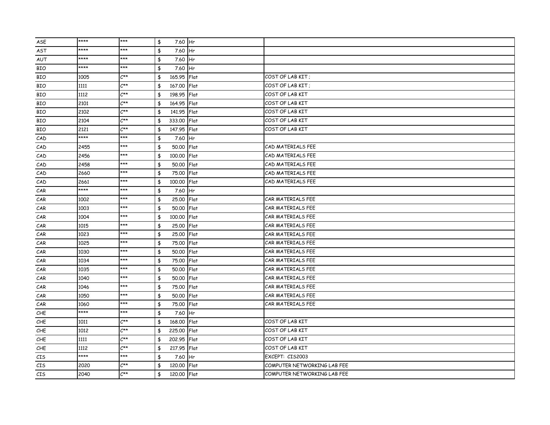| ASE | **** | ***                        | \$<br>7.60 Hr     |                             |
|-----|------|----------------------------|-------------------|-----------------------------|
| AST | **** | ***                        | \$<br>7.60 Hr     |                             |
| AUT | **** | ***                        | \$<br>7.60 Hr     |                             |
| BIO | **** | ***                        | 7.60 Hr<br>\$     |                             |
| BIO | 1005 | $C^{\star\star}$           | \$<br>165.95 Flat | COST OF LAB KIT;            |
| BIO | 1111 | $C^{\star\star}$           | \$<br>167.00 Flat | COST OF LAB KIT:            |
| BIO | 1112 | $C^{\star\star}$           | \$<br>198.95 Flat | COST OF LAB KIT             |
| BIO | 2101 | $C^{\star\star}$           | \$<br>164.95 Flat | COST OF LAB KIT             |
| BIO | 2102 | $C^{\star\star}$           | \$<br>141.95 Flat | COST OF LAB KIT             |
| BIO | 2104 | $C^{\star\star}$           | 333,00 Flat<br>\$ | COST OF LAB KIT             |
| BIO | 2121 | $C^{\star\star}$           | \$<br>147.95 Flat | COST OF LAB KIT             |
| CAD | **** | ***                        | \$<br>7.60 Hr     |                             |
| CAD | 2455 | ***                        | 50,00 Flat<br>\$  | CAD MATERIALS FEE           |
| CAD | 2456 | ***                        | \$<br>100.00 Flat | CAD MATERIALS FEE           |
| CAD | 2458 | ***                        | \$<br>50.00 Flat  | CAD MATERIALS FEE           |
| CAD | 2660 | ***                        | \$<br>75.00 Flat  | CAD MATERIALS FEE           |
| CAD | 2661 | ***                        | \$<br>100.00 Flat | CAD MATERIALS FEE           |
| CAR | **** | ***                        | \$<br>7.60 Hr     |                             |
| CAR | 1002 | ***                        | \$<br>25.00 Flat  | CAR MATERIALS FEE           |
| CAR | 1003 | ***                        | \$<br>50.00 Flat  | CAR MATERIALS FEE           |
| CAR | 1004 | ***                        | \$<br>100,00 Flat | CAR MATERIALS FEE           |
| CAR | 1015 | ***                        | \$<br>25,00 Flat  | CAR MATERIALS FEE           |
| CAR | 1023 | ***                        | \$<br>25,00 Flat  | CAR MATERIALS FEE           |
| CAR | 1025 | ***                        | \$<br>75,00 Flat  | CAR MATERIALS FEE           |
| CAR | 1030 | ***                        | \$<br>50.00 Flat  | CAR MATERIALS FEE           |
| CAR | 1034 | $***$                      | \$<br>75,00 Flat  | CAR MATERIALS FEE           |
| CAR | 1035 | $***$                      | \$<br>50.00 Flat  | CAR MATERIALS FEE           |
| CAR | 1040 | ***                        | \$<br>50.00 Flat  | CAR MATERIALS FEE           |
| CAR | 1046 | $***$                      | \$<br>75.00 Flat  | CAR MATERIALS FEE           |
| CAR | 1050 | ***                        | \$<br>50.00 Flat  | CAR MATERIALS FEE           |
| CAR | 1060 | ***                        | \$<br>75,00 Flat  | CAR MATERIALS FEE           |
| CHE | **** | ***                        | \$<br>7.60 Hr     |                             |
| CHE | 1011 | $C^{\star\star}$           | \$<br>168,00 Flat | COST OF LAB KIT             |
| CHE | 1012 | $C^{\star\star}$           | \$<br>225,00 Flat | COST OF LAB KIT             |
| CHE | 1111 | $C^{\star\star}$           | 202.95 Flat<br>\$ | COST OF LAB KIT             |
| CHE | 1112 | $C^{\star\star}$           | 217.95 Flat<br>\$ | COST OF LAB KIT             |
| CIS | **** | ***                        | \$<br>7.60 Hr     | EXCEPT: CIS2003             |
| CIS | 2020 | $C^{\star\star}$           | \$<br>120.00 Flat | COMPUTER NETWORKING LAB FEE |
| CIS | 2040 | $\mathcal{L}^{\star\star}$ | 120.00 Flat<br>\$ | COMPUTER NETWORKING LAB FEE |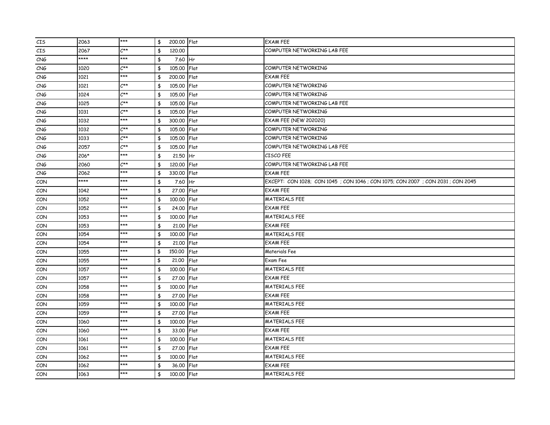| CIS | 2063 | $***$                      | \$           | 200.00 Flat | <b>EXAM FEE</b>                                                              |
|-----|------|----------------------------|--------------|-------------|------------------------------------------------------------------------------|
| CIS | 2067 | $\mathcal{L}^{\star\star}$ | 120,00<br>\$ |             | COMPUTER NETWORKING LAB FEE                                                  |
| CNG | **** | ***                        | \$           | 7.60 Hr     |                                                                              |
| CNG | 1020 | $C^{\star\star}$           | \$           | 105.00 Flat | COMPUTER NETWORKING                                                          |
| CNG | 1021 | ***                        | \$           | 200.00 Flat | <b>EXAM FEE</b>                                                              |
| CNG | 1021 | $\mathcal{L}^{\star\star}$ | \$           | 105,00 Flat | COMPUTER NETWORKING                                                          |
| CNG | 1024 | $\mathcal{L}^{\star\star}$ | \$           | 105.00 Flat | COMPUTER NETWORKING                                                          |
| CNG | 1025 | $C^{\star\star}$           | \$           | 105.00 Flat | COMPUTER NETWORKING LAB FEE                                                  |
| CNG | 1031 | $C^{\star\star}$           | \$           | 105.00 Flat | COMPUTER NETWORKING                                                          |
| CNG | 1032 | ***                        | \$           | 300.00 Flat | <b>EXAM FEE (NEW 202020)</b>                                                 |
| CNG | 1032 | $C^{\star\star}$           | \$           | 105.00 Flat | COMPUTER NETWORKING                                                          |
| CNG | 1033 | $C^{\star\star}$           | \$           | 105.00 Flat | COMPUTER NETWORKING                                                          |
| CNG | 2057 | $\mathcal{L}^{\star\star}$ | \$           | 105.00 Flat | COMPUTER NETWORKING LAB FEE                                                  |
| CNG | 206* | ***                        | \$           | 21,50 Hr    | CISCO FEE                                                                    |
| CNG | 2060 | $C^{\star\star}$           | \$           | 120,00 Flat | COMPUTER NETWORKING LAB FEE                                                  |
| CNG | 2062 | ***                        | \$           | 330.00 Flat | <b>EXAM FEE</b>                                                              |
| CON | **** | ***                        | \$           | 7.60 Hr     | EXCEPT: CON 1028; CON 1045; CON 1046; CON 1075; CON 2007; CON 2031; CON 2045 |
| CON | 1042 | ***                        | \$           | 27.00 Flat  | <b>EXAM FEE</b>                                                              |
| CON | 1052 | ***                        | \$           | 100.00 Flat | <b>MATERIALS FEE</b>                                                         |
| CON | 1052 | ***                        | \$           | 24.00 Flat  | <b>EXAM FEE</b>                                                              |
| CON | 1053 | ***                        | \$           | 100.00 Flat | MATERIALS FEE                                                                |
| CON | 1053 | ***                        | \$           | 21,00 Flat  | <b>EXAM FEE</b>                                                              |
| CON | 1054 | ***                        | \$           | 100.00 Flat | <b>MATERIALS FEE</b>                                                         |
| CON | 1054 | ***                        | \$           | 21.00 Flat  | <b>EXAM FEE</b>                                                              |
| CON | 1055 | ***                        | \$<br>150,00 | Flat        | Materials Fee                                                                |
| CON | 1055 | ***                        | \$<br>21,00  | Flat        | Exam Fee                                                                     |
| CON | 1057 | ***                        | \$           | 100.00 Flat | <b>MATERIALS FEE</b>                                                         |
| CON | 1057 | ***                        | \$           | 27,00 Flat  | <b>EXAM FEE</b>                                                              |
| CON | 1058 | ***                        | \$           | 100.00 Flat | <b>MATERIALS FEE</b>                                                         |
| CON | 1058 | ***                        | \$           | 27.00 Flat  | <b>EXAM FEE</b>                                                              |
| CON | 1059 | ***                        | \$           | 100.00 Flat | <b>MATERIALS FEE</b>                                                         |
| CON | 1059 | ***                        | \$           | 27.00 Flat  | <b>EXAM FEE</b>                                                              |
| CON | 1060 | ***                        | \$           | 100.00 Flat | <b>MATERIALS FEE</b>                                                         |
| CON | 1060 | ***                        | \$           | 33,00 Flat  | <b>EXAM FEE</b>                                                              |
| CON | 1061 | ***                        | \$           | 100,00 Flat | MATERIALS FEE                                                                |
| CON | 1061 | ***                        | \$           | 27.00 Flat  | <b>EXAM FEE</b>                                                              |
| CON | 1062 | ***                        | \$           | 100.00 Flat | <b>MATERIALS FEE</b>                                                         |
| CON | 1062 | $***$                      | \$           | 36.00 Flat  | <b>EXAM FEE</b>                                                              |
| CON | 1063 | ***                        | \$           | 100.00 Flat | <b>MATERIALS FEE</b>                                                         |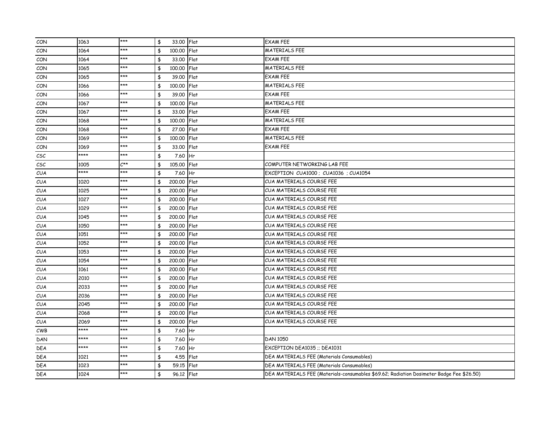| CON                                 | 1063 | $***$            | $\frac{4}{3}$<br>33.00 Flat |      | <b>EXAM FEE</b>                                                                          |
|-------------------------------------|------|------------------|-----------------------------|------|------------------------------------------------------------------------------------------|
| CON                                 | 1064 | ***              | 100.00 Flat<br>\$           |      | <b>MATERIALS FEE</b>                                                                     |
| CON                                 | 1064 | ***              | 33.00 Flat<br>\$            |      | <b>EXAM FEE</b>                                                                          |
| CON                                 | 1065 | $***$            | 100.00 Flat<br>\$           |      | <b>MATERIALS FEE</b>                                                                     |
| CON                                 | 1065 | $***$            | \$<br>39.00 Flat            |      | <b>EXAM FEE</b>                                                                          |
| CON                                 | 1066 | ***              | \$<br>100.00 Flat           |      | <b>MATERIALS FEE</b>                                                                     |
| CON                                 | 1066 | ***              | \$<br>39.00 Flat            |      | <b>EXAM FEE</b>                                                                          |
| CON                                 | 1067 | ***              | \$<br>100.00 Flat           |      | <b>MATERIALS FEE</b>                                                                     |
| CON                                 | 1067 | ***              | 33.00 Flat<br>\$            |      | <b>EXAM FEE</b>                                                                          |
| CON                                 | 1068 | ***              | \$<br>100,00 Flat           |      | <b>MATERIALS FEE</b>                                                                     |
| CON                                 | 1068 | ***              | 27,00 Flat<br>\$            |      | <b>EXAM FEE</b>                                                                          |
| CON                                 | 1069 | ***              | 100.00 Flat<br>\$           |      | <b>MATERIALS FEE</b>                                                                     |
| CON                                 | 1069 | ***              | 33.00 Flat<br>\$            |      | <b>EXAM FEE</b>                                                                          |
| $\mathcal{C}\mathcal{S}\mathcal{C}$ | **** | ***              | \$<br>7.60 Hr               |      |                                                                                          |
| $\mathcal{C}\mathcal{S}\mathcal{C}$ | 1005 | $C^{\star\star}$ | 105.00 Flat<br>\$           |      | COMPUTER NETWORKING LAB FEE                                                              |
| <b>CUA</b>                          | **** | ***              | 7.60 Hr<br>\$               |      | EXCEPTION CUA1000; CUA1036; CUA1054                                                      |
| <b>CUA</b>                          | 1020 | ***              | 200,00 Flat<br>\$           |      | CUA MATERIALS COURSE FEE                                                                 |
| <b>CUA</b>                          | 1025 | ***              | \$<br>200,00 Flat           |      | CUA MATERIALS COURSE FEE                                                                 |
| <b>CUA</b>                          | 1027 | ***              | \$<br>200,00 Flat           |      | CUA MATERIALS COURSE FEE                                                                 |
| CUA                                 | 1029 | ***              | \$<br>200,00 Flat           |      | CUA MATERIALS COURSE FEE                                                                 |
| <b>CUA</b>                          | 1045 | ***              | 200,00 Flat<br>\$           |      | CUA MATERIALS COURSE FEE                                                                 |
| CUA                                 | 1050 | ***              | 200,00 Flat<br>\$           |      | CUA MATERIALS COURSE FEE                                                                 |
| <b>CUA</b>                          | 1051 | $***$            | \$<br>200.00 Flat           |      | <b>CUA MATERIALS COURSE FEE</b>                                                          |
| <b>CUA</b>                          | 1052 | ***              | 200,00 Flat<br>\$           |      | CUA MATERIALS COURSE FEE                                                                 |
| <b>CUA</b>                          | 1053 | ***              | \$<br>200.00 Flat           |      | CUA MATERIALS COURSE FEE                                                                 |
| <b>CUA</b>                          | 1054 | ***              | 200,00 Flat<br>\$           |      | CUA MATERIALS COURSE FEE                                                                 |
| <b>CUA</b>                          | 1061 | ***              | 200.00 Flat<br>\$           |      | CUA MATERIALS COURSE FEE                                                                 |
| <b>CUA</b>                          | 2010 | $***$            | 200,00 Flat<br>\$           |      | <b>CUA MATERIALS COURSE FEE</b>                                                          |
| <b>CUA</b>                          | 2033 | $***$            | 200,00 Flat<br>\$           |      | CUA MATERIALS COURSE FEE                                                                 |
| <b>CUA</b>                          | 2036 | ***              | 200,00 Flat<br>\$           |      | CUA MATERIALS COURSE FEE                                                                 |
| <b>CUA</b>                          | 2045 | ***              | 200,00 Flat<br>\$           |      | CUA MATERIALS COURSE FEE                                                                 |
| <b>CUA</b>                          | 2068 | ***              | \$<br>200,00 Flat           |      | CUA MATERIALS COURSE FEE                                                                 |
| <b>CUA</b>                          | 2069 | ***              | \$<br>200,00                | Flat | CUA MATERIALS COURSE FEE                                                                 |
| CWB                                 | **** | ***              | \$<br>7.60 Hr               |      |                                                                                          |
| DAN                                 | **** | ***              | 7.60 Hr<br>\$               |      | DAN 1050                                                                                 |
| <b>DEA</b>                          | **** | ***              | \$<br>7.60 Hr               |      | EXCEPTION DEA1035 ;; DEA1031                                                             |
| <b>DEA</b>                          | 1021 | ***              | 4.55 Flat<br>\$             |      | DEA MATERIALS FEE (Materials Consumables)                                                |
| <b>DEA</b>                          | 1023 | $***$            | 59.15 Flat<br>\$            |      | DEA MATERIALS FEE (Materials Consumables)                                                |
| <b>DEA</b>                          | 1024 | ***              | 96.12 Flat<br>\$            |      | DEA MATERIALS FEE (Materials-consumables \$69.62; Radiation Dosimeter Badge Fee \$26.50) |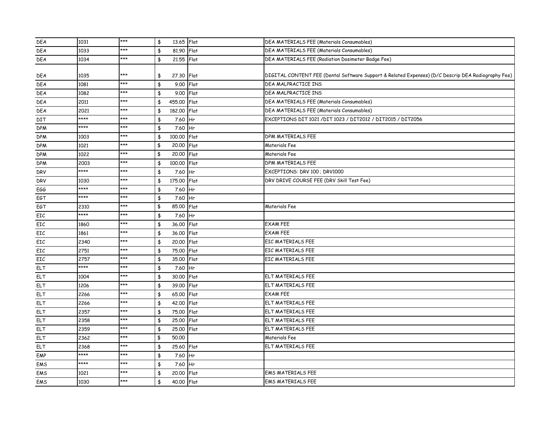| <b>DEA</b> | 1031 | $***$ | $\frac{4}{3}$<br>13.65 Flat                 |                | DEA MATERIALS FEE (Materials Consumables)                                                          |
|------------|------|-------|---------------------------------------------|----------------|----------------------------------------------------------------------------------------------------|
| <b>DEA</b> | 1033 | ***   | $\frac{4}{5}$<br>81.90 Flat                 |                | DEA MATERIALS FEE (Materials Consumables)                                                          |
| <b>DEA</b> | 1034 | $***$ | \$<br>21.55 Flat                            |                | DEA MATERIALS FEE (Radiation Dosimeter Badge Fee)                                                  |
|            |      |       |                                             |                |                                                                                                    |
| <b>DEA</b> | 1035 | ***   | \$<br>27.30 Flat                            |                | DIGITAL CONTENT FEE (Dental Software Support & Related Expenses) (D/C Descrip DEA Radiography Fee) |
| <b>DEA</b> | 1081 | ***   | \$<br>9.00                                  | Flat           | DEA MALPRACTICE INS                                                                                |
| DEA        | 1082 | $***$ | $\frac{1}{2}$<br>9.00 Flat                  |                | DEA MALPRACTICE INS                                                                                |
| <b>DEA</b> | 2011 | ***   | \$<br>455.00                                | Flat           | DEA MATERIALS FEE (Materials Consumables)                                                          |
| <b>DEA</b> | 2021 | $***$ | $\frac{4}{3}$<br>182.00 Flat                |                | DEA MATERIALS FEE (Materials Consumables)                                                          |
| DIT        | **** | ***   | $\frac{4}{5}$<br>7.60                       | H <sub>r</sub> | EXCEPTIONS DIT 1021 / DIT 1023 / DIT2012 / DIT2015 / DIT2056                                       |
| <b>DPM</b> | **** | ***   | $\frac{1}{2}$<br>7.60 Hr                    |                |                                                                                                    |
| <b>DPM</b> | 1003 | ***   | $\frac{1}{2}$<br>100.00 Flat                |                | DPM MATERIALS FEE                                                                                  |
| <b>DPM</b> | 1021 | ***   | \$<br>20.00 Flat                            |                | Materials Fee                                                                                      |
| <b>DPM</b> | 1022 | ***   | $\pmb{\ddagger}$<br>$\overline{20.00}$ Flat |                | Materials Fee                                                                                      |
| <b>DPM</b> | 2003 | ***   | $\frac{4}{3}$<br>100.00 Flat                |                | DPM MATERIALS FEE                                                                                  |
| <b>DRV</b> | **** | ***   | \$<br>7.60                                  | Hr             | EXCEPTIONS: DRV 100 ; DRV1000                                                                      |
| <b>DRV</b> | 1030 | ***   | $\frac{4}{5}$<br>175.00 Flat                |                | DRV DRIVE COURSE FEE (DRV Skill Test Fee)                                                          |
| EGG        | **** | ***   | \$<br>7.60                                  | Hr             |                                                                                                    |
| EGT        | **** | ***   | $\frac{4}{5}$<br>7.60                       | <b>Hr</b>      |                                                                                                    |
| EGT        | 2310 | ***   | \$<br>85.00                                 | Flat           | Materials Fee                                                                                      |
| EIC        | **** | ***   | $\frac{1}{2}$<br>7.60                       | Hr             |                                                                                                    |
| EIC        | 1860 | ***   | $\frac{4}{3}$<br>36,00 Flat                 |                | <b>EXAM FEE</b>                                                                                    |
| EIC        | 1861 | ***   | $\frac{4}{3}$<br>36.00 Flat                 |                | <b>EXAM FEE</b>                                                                                    |
| EIC        | 2340 | ***   | \$<br>20,00                                 | Flat           | EIC MATERIALS FEE                                                                                  |
| EIC        | 2751 | ***   | $\frac{4}{5}$<br>75.00 Flat                 |                | EIC MATERIALS FEE                                                                                  |
| EIC        | 2757 | ***   | \$<br>35,00                                 | Flat           | EIC MATERIALS FEE                                                                                  |
| <b>ELT</b> | **** | ***   | $\frac{1}{2}$<br>7.60 Hr                    |                |                                                                                                    |
| <b>ELT</b> | 1004 | ***   | $\frac{1}{2}$<br>30.00                      | <b>IFlat</b>   | <b>ELT MATERIALS FEE</b>                                                                           |
| <b>ELT</b> | 1206 | $***$ | $\frac{4}{3}$<br>39.00 Flat                 |                | ELT MATERIALS FEE                                                                                  |
| ELT        | 2266 | ***   | $\frac{4}{3}$<br>65.00 Flat                 |                | <b>EXAM FEE</b>                                                                                    |
| <b>ELT</b> | 2266 | ***   | $\frac{4}{5}$<br>42,00 Flat                 |                | ELT MATERIALS FEE                                                                                  |
| <b>ELT</b> | 2357 | ***   | \$<br>75.00                                 | Flat           | ELT MATERIALS FEE                                                                                  |
| ELT        | 2358 | $***$ | $\frac{4}{5}$<br>25,00                      | Flat           | ELT MATERIALS FEE                                                                                  |
| <b>ELT</b> | 2359 | ***   | \$<br>25,00                                 | Flat           | ELT MATERIALS FEE                                                                                  |
| ELT        | 2362 | ***   | $\pmb{\ddagger}$<br>50.00                   |                | Materials Fee                                                                                      |
| <b>ELT</b> | 2368 | ***   | 25.60 Flat<br>$\frac{4}{3}$                 |                | ELT MATERIALS FEE                                                                                  |
| EMP        | **** | $***$ | \$<br>7.60 Hr                               |                |                                                                                                    |
| EMS        | **** | ***   | \$<br>7.60 Hr                               |                |                                                                                                    |
| EMS        | 1021 | ***   | \$<br>20.00 Flat                            |                | <b>EMS MATERIALS FEE</b>                                                                           |
| EMS        | 1030 | ***   | \$<br>40.00 Flat                            |                | <b>EMS MATERIALS FEE</b>                                                                           |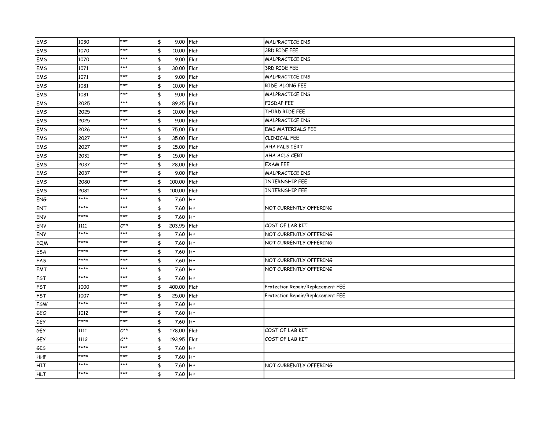| EMS        | 1030 | $***$            | 9.00 Flat<br>\$             |           | <b>MALPRACTICE INS</b>            |
|------------|------|------------------|-----------------------------|-----------|-----------------------------------|
| EMS        | 1070 | $***$            | \$<br>10.00 Flat            |           | 3RD RIDE FEE                      |
| EMS        | 1070 | ***              | 9.00 Flat<br>\$             |           | MALPRACTICE INS                   |
| EMS        | 1071 | $***$            | \$<br>30.00                 | Flat      | 3RD RIDE FEE                      |
| EMS        | 1071 | $***$            | \$<br>9.00 Flat             |           | <b>MALPRACTICE INS</b>            |
| EMS        | 1081 | ***              | \$<br>10.00                 | Flat      | RIDE-ALONG FEE                    |
| EMS        | 1081 | $***$            | \$<br>9.00                  | Flat      | MALPRACTICE INS                   |
| EMS        | 2025 | $***$            | \$<br>89.25 Flat            |           | <b>FISDAP FEE</b>                 |
| EMS        | 2025 | ***              | \$<br>10.00                 | Flat      | THIRD RIDE FEE                    |
| EMS        | 2025 | $***$            | 9.00 Flat<br>\$             |           | MALPRACTICE INS                   |
| EMS        | 2026 | ***              | \$<br>75.00 Flat            |           | <b>EMS MATERIALS FEE</b>          |
| EMS        | 2027 | ***              | 35,00<br>\$                 | Flat      | CLINICAL FEE                      |
| EMS        | 2027 | ***              | $\frac{4}{5}$<br>15.00 Flat |           | AHA PALS CERT                     |
| EMS        | 2031 | $***$            | $\frac{4}{5}$<br>15.00 Flat |           | AHA ACLS CERT                     |
| EMS        | 2037 | $***$            | \$<br>28,00                 | Flat      | <b>EXAM FEE</b>                   |
| EMS        | 2037 | $***$            | \$<br>9.00                  | Flat      | MALPRACTICE INS                   |
| EMS        | 2080 | ***              | \$<br>100,00 Flat           |           | <b>INTERNSHIP FEE</b>             |
| EMS        | 2081 | ***              | \$<br>100,00                | Flat      | <b>INTERNSHIP FEE</b>             |
| ENG        | **** | ***              | \$<br>7.60                  | <b>Hr</b> |                                   |
| ENT        | **** | $***$            | \$<br>7.60 Hr               |           | NOT CURRENTLY OFFERING            |
| ENV        | **** | ***              | \$<br>7.60                  | <b>Hr</b> |                                   |
| ENV        | 1111 | $C^{\star\star}$ | 203.95 Flat<br>\$           |           | COST OF LAB KIT                   |
| <b>ENY</b> | **** | ***              | 7.60 Hr<br>\$               |           | NOT CURRENTLY OFFERING            |
| EQM        | **** | ***              | \$<br>7.60 Hr               |           | NOT CURRENTLY OFFERING            |
| ESA        | **** | ***              | \$<br>7.60 Hr               |           |                                   |
| FAS        | **** | $***$            | 7.60 Hr<br>\$               |           | NOT CURRENTLY OFFERING            |
| <b>FMT</b> | **** | $***$            | \$<br>7.60 Hr               |           | NOT CURRENTLY OFFERING            |
| FST        | **** | $***$            | $\frac{4}{3}$<br>7.60       | Hr        |                                   |
| FST        | 1000 | $***$            | \$<br>400.00                | Flat      | Protection Repair/Replacement FEE |
| FST        | 1007 | ***              | \$<br>25.00                 | Flat      | Protection Repair/Replacement FEE |
| <b>FSW</b> | **** | ***              | \$<br>7.60                  | Hr        |                                   |
| GEO        | 1012 | $***$            | 7.60 Hr<br>\$               |           |                                   |
| GEY        | **** | ***              | 7.60<br>\$                  | Hr        |                                   |
| GEY        | 1111 | $C^{\star\star}$ | \$<br>178.00 Flat           |           | COST OF LAB KIT                   |
| GEY        | 1112 | $C^{\star\star}$ | 193.95 Flat<br>\$           |           | COST OF LAB KIT                   |
| GIS        | **** | ***              | 7.60<br>\$                  | Hr        |                                   |
| <b>HHP</b> | **** | $***$            | 7.60 Hr<br>\$               |           |                                   |
| HIT        | **** | ***              | 7.60 Hr<br>\$               |           | NOT CURRENTLY OFFERING            |
| <b>HLT</b> | **** | ***              | 7.60 Hr<br>\$               |           |                                   |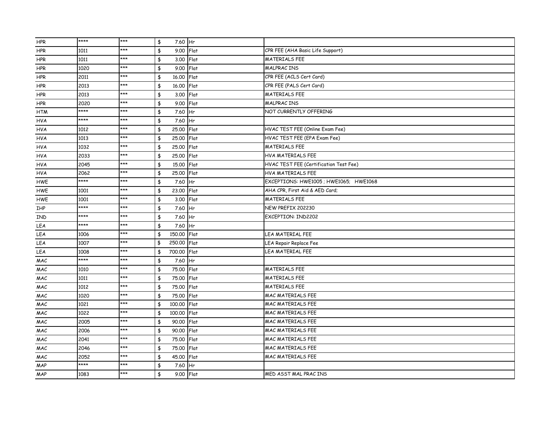| <b>HPR</b> | **** | $***$ | \$<br>7.60 Hr     |             |                                        |
|------------|------|-------|-------------------|-------------|----------------------------------------|
| <b>HPR</b> | 1011 | ***   | \$<br>9.00 Flat   |             | CPR FEE (AHA Basic Life Support)       |
| <b>HPR</b> | 1011 | $***$ | 3.00 Flat<br>\$   |             | <b>MATERIALS FEE</b>                   |
| HPR        | 1020 | $***$ | \$<br>9.00        | Flat        | <b>MALPRACINS</b>                      |
| <b>HPR</b> | 2011 | ***   | \$<br>16.00       | Flat        | CPR FEE (ACLS Cert Card)               |
| <b>HPR</b> | 2013 | ***   | \$<br>16.00       | Flat        | CPR FEE (PALS Cert Card)               |
| <b>HPR</b> | 2013 | ***   | \$<br>3.00        | Flat        | <b>MATERIALS FEE</b>                   |
| <b>HPR</b> | 2020 | ***   | \$<br>9.00        | Flat        | <b>MALPRACINS</b>                      |
| <b>HTM</b> | **** | ***   | \$<br>7.60 Hr     |             | NOT CURRENTLY OFFERING                 |
| <b>HVA</b> | **** | ***   | \$<br>7.60        | <b>I</b> Hr |                                        |
| <b>HVA</b> | 1012 | ***   | \$<br>25.00 Flat  |             | HVAC TEST FEE (Online Exam Fee)        |
| <b>HVA</b> | 1013 | ***   | \$<br>25.00 Flat  |             | HVAC TEST FEE (EPA Exam Fee)           |
| <b>HVA</b> | 1032 | ***   | \$<br>25.00       | Flat        | <b>MATERIALS FEE</b>                   |
| <b>HVA</b> | 2033 | ***   | \$<br>25.00 Flat  |             | HVA MATERIALS FEE                      |
| <b>HVA</b> | 2045 | ***   | \$<br>15.00 Flat  |             | HVAC TEST FEE (Certification Test Fee) |
| <b>HVA</b> | 2062 | $***$ | \$<br>25.00       | Flat        | <b>HVA MATERIALS FEE</b>               |
| HWE        | **** | ***   | \$<br>7.60        | Hr          | EXCEPTIONS: HWE1005 ; HWE1065; HWE1068 |
| HWE        | 1001 | ***   | \$<br>23.00 Flat  |             | AHA CPR, First Aid & AED Card;         |
| HWE        | 1001 | ***   | \$<br>3.00        | Flat        | <b>MATERIALS FEE</b>                   |
| IHP        | **** | ***   | \$<br>7.60 Hr     |             | NEW PREFIX 202230                      |
| IND        | **** | ***   | \$<br>7.60 Hr     |             | EXCEPTION: IND2202                     |
| LEA        | **** | ***   | \$<br>7.60        | <b>I</b> Hr |                                        |
| LEA        | 1006 | ***   | \$<br>150,00 Flat |             | LEA MATERIAL FEE                       |
| LEA        | 1007 | ***   | 250.00 Flat<br>\$ |             | LEA Repair Replace Fee                 |
| LEA        | 1008 | ***   | 700,00 Flat<br>\$ |             | LEA MATERIAL FEE                       |
| MAC        | **** | $***$ | 7.60 Hr<br>\$     |             |                                        |
| MAC        | 1010 | $***$ | \$<br>75.00 Flat  |             | <b>MATERIALS FEE</b>                   |
| MAC        | 1011 | $***$ | \$<br>75,00       | Flat        | <b>MATERIALS FEE</b>                   |
| MAC        | 1012 | ***   | \$<br>75.00       | Flat        | <b>MATERIALS FEE</b>                   |
| MAC        | 1020 | ***   | \$<br>75,00       | Flat        | <b>MAC MATERIALS FEE</b>               |
| MAC        | 1021 | ***   | \$<br>100.00      | Flat        | <b>MAC MATERIALS FEE</b>               |
| MAC        | 1022 | ***   | \$<br>100.00      | Flat        | <b>MAC MATERIALS FEE</b>               |
| MAC        | 2005 | ***   | \$<br>90.00       | Flat        | <b>MAC MATERIALS FEE</b>               |
| MAC        | 2006 | ***   | \$<br>90.00       | Flat        | <b>MAC MATERIALS FEE</b>               |
| MAC        | 2041 | ***   | \$<br>75.00 Flat  |             | <b>MAC MATERIALS FEE</b>               |
| MAC        | 2046 | ***   | \$<br>75,00       | Flat        | <b>MAC MATERIALS FEE</b>               |
| MAC        | 2052 | ***   | 45.00 Flat<br>\$  |             | <b>MAC MATERIALS FEE</b>               |
| MAP        | **** | $***$ | \$<br>7.60 Hr     |             |                                        |
| MAP        | 1083 | ***   | 9.00 Flat<br>\$   |             | MED ASST MAL PRACINS                   |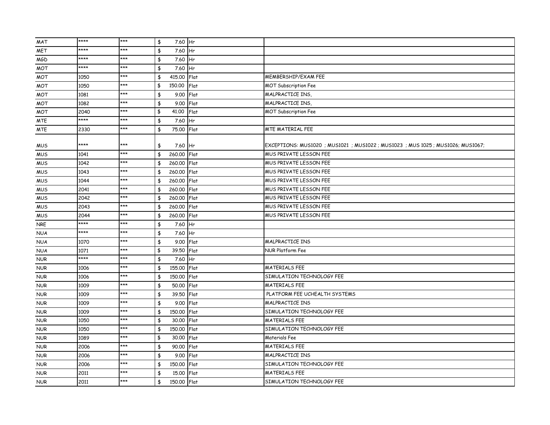| MAT        | **** | $***$ | 7.60 Hr<br>\$     |      |                                                                            |
|------------|------|-------|-------------------|------|----------------------------------------------------------------------------|
| <b>MET</b> | **** | ***   | 7.60 Hr<br>\$     |      |                                                                            |
| <b>MGD</b> | **** | $***$ | \$<br>7.60 Hr     |      |                                                                            |
| <b>MOT</b> | **** | ***   | \$<br>7.60 Hr     |      |                                                                            |
| <b>MOT</b> | 1050 | ***   | \$<br>415.00 Flat |      | MEMBERSHIP/EXAM FEE                                                        |
| MOT        | 1050 | ***   | \$<br>150,00      | Flat | <b>MOT Subscription Fee</b>                                                |
| <b>MOT</b> | 1081 | ***   | \$<br>9.00 Flat   |      | MALPRACTICE INS,                                                           |
| <b>MOT</b> | 1082 | ***   | \$<br>9.00 Flat   |      | MALPRACTICE INS.                                                           |
| <b>MOT</b> | 2040 | ***   | \$<br>41.00       | Flat | <b>MOT Subscription Fee</b>                                                |
| MTE        | **** | ***   | 7.60 Hr<br>\$     |      |                                                                            |
| <b>MTE</b> | 2330 | ***   | \$<br>75.00 Flat  |      | MTE MATERIAL FEE                                                           |
| MUS        | **** | ***   | 7.60 Hr<br>\$     |      | EXCEPTIONS: MUS1020; MUS1021; MUS1022; MUS1023; MUS1025; MUS1026; MUS1067; |
| <b>MUS</b> | 1041 | ***   | \$<br>260,00 Flat |      | MUS PRIVATE LESSON FEE                                                     |
| <b>MUS</b> | 1042 | ***   | 260.00 Flat<br>\$ |      | <b>MUS PRIVATE LESSON FEE</b>                                              |
| <b>MUS</b> | 1043 | ***   | 260,00 Flat<br>\$ |      | MUS PRIVATE LESSON FEE                                                     |
| <b>MUS</b> | 1044 | ***   | 260.00 Flat<br>\$ |      | MUS PRIVATE LESSON FEE                                                     |
| <b>MUS</b> | 2041 | ***   | \$<br>260,00 Flat |      | MUS PRIVATE LESSON FEE                                                     |
| <b>MUS</b> | 2042 | $***$ | \$<br>260,00 Flat |      | MUS PRIVATE LESSON FEE                                                     |
| <b>MUS</b> | 2043 | ***   | \$<br>260,00 Flat |      | <b>MUS PRIVATE LESSON FEE</b>                                              |
| <b>MUS</b> | 2044 | ***   | \$<br>260.00 Flat |      | MUS PRIVATE LESSON FEE                                                     |
| <b>NRE</b> | **** | ***   | 7.60 Hr<br>\$     |      |                                                                            |
| <b>NUA</b> | **** | $***$ | 7.60 Hr<br>\$     |      |                                                                            |
| <b>NUA</b> | 1070 | ***   | 9.00 Flat<br>\$   |      | MALPRACTICE INS                                                            |
| <b>NUA</b> | 1071 | ***   | \$<br>39.50 Flat  |      | NUR Platform Fee                                                           |
| <b>NUR</b> | **** | ***   | \$<br>7.60 Hr     |      |                                                                            |
| <b>NUR</b> | 1006 | $***$ | \$<br>155,00 Flat |      | <b>MATERIALS FEE</b>                                                       |
| <b>NUR</b> | 1006 | ***   | \$<br>150,00 Flat |      | SIMULATION TECHNOLOGY FEE                                                  |
| <b>NUR</b> | 1009 | ***   | \$<br>50.00 Flat  |      | <b>MATERIALS FEE</b>                                                       |
| <b>NUR</b> | 1009 | ***   | \$<br>39.50 Flat  |      | PLATFORM FEE UCHEALTH SYSTEMS                                              |
| <b>NUR</b> | 1009 | ***   | \$<br>9.00 Flat   |      | <b>MALPRACTICE INS</b>                                                     |
| <b>NUR</b> | 1009 | ***   | 150,00 Flat<br>\$ |      | SIMULATION TECHNOLOGY FEE                                                  |
| <b>NUR</b> | 1050 | $***$ | \$<br>30.00 Flat  |      | <b>MATERIALS FEE</b>                                                       |
| <b>NUR</b> | 1050 | ***   | \$<br>150,00 Flat |      | SIMULATION TECHNOLOGY FEE                                                  |
| <b>NUR</b> | 1089 | ***   | \$<br>30.00 Flat  |      | Materials Fee                                                              |
| <b>NUR</b> | 2006 | $***$ | \$<br>90.00 Flat  |      | <b>MATERIALS FEE</b>                                                       |
| <b>NUR</b> | 2006 | ***   | 9.00 Flat<br>\$   |      | MALPRACTICE INS                                                            |
| <b>NUR</b> | 2006 | ***   | 150,00 Flat<br>\$ |      | SIMULATION TECHNOLOGY FEE                                                  |
| <b>NUR</b> | 2011 | ***   | \$<br>15,00 Flat  |      | <b>MATERIALS FEE</b>                                                       |
| <b>NUR</b> | 2011 | ***   | 150.00 Flat<br>\$ |      | SIMULATION TECHNOLOGY FEE                                                  |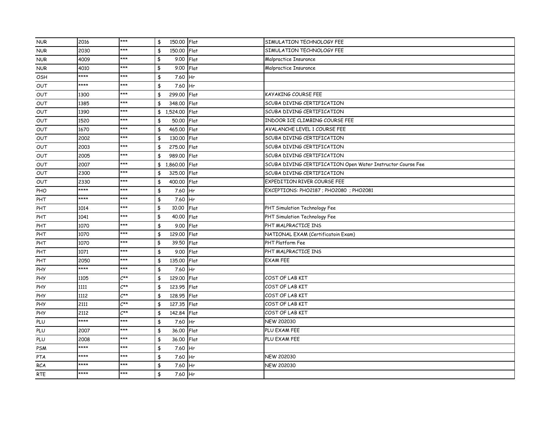| <b>NUR</b> | 2016 | $***$                      | 150.00 Flat<br>\$            |      | SIMULATION TECHNOLOGY FEE                                   |
|------------|------|----------------------------|------------------------------|------|-------------------------------------------------------------|
| <b>NUR</b> | 2030 | ***                        | 150.00 Flat<br>\$            |      | SIMULATION TECHNOLOGY FEE                                   |
| <b>NUR</b> | 4009 | ***                        | \$<br>9.00 Flat              |      | Malpractice Insurance                                       |
| <b>NUR</b> | 4010 | $***$                      | \$<br>$9.00$ Flat            |      | Malpractice Insurance                                       |
| OSH        | **** | ***                        | \$<br>7.60 Hr                |      |                                                             |
| OUT        | **** | ***                        | \$<br>7.60 Hr                |      |                                                             |
| OUT        | 1300 | ***                        | \$<br>299.00 Flat            |      | KAYAKING COURSE FEE                                         |
| OUT        | 1385 | ***                        | 348.00 Flat<br>\$            |      | SCUBA DIVING CERTIFICATION                                  |
| OUT        | 1390 | ***                        | \$ 1,524.00 Flat             |      | SCUBA DIVING CERTIFICATION                                  |
| OUT        | 1520 | ***                        | \$<br>50.00 Flat             |      | INDOOR ICE CLIMBING COURSE FEE                              |
| OUT        | 1670 | ***                        | 465,00 Flat<br>\$            |      | AVALANCHE LEVEL 1 COURSE FEE                                |
| OUT        | 2002 | ***                        | \$<br>130,00 Flat            |      | SCUBA DIVING CERTIFICATION                                  |
| OUT        | 2003 | ***                        | \$<br>275,00 Flat            |      | SCUBA DIVING CERTIFICATION                                  |
| OUT        | 2005 | ***                        | 989.00 Flat<br>\$            |      | SCUBA DIVING CERTIFICATION                                  |
| OUT        | 2007 | ***                        | \$ 1,860.00 Flat             |      | SCUBA DIVING CERTIFICATION Open Water Instructor Course Fee |
| OUT        | 2300 | $***$                      | \$<br>325.00 Flat            |      | SCUBA DIVING CERTIFICATION                                  |
| OUT        | 2330 | ***                        | 400.00 Flat<br>\$            |      | EXPEDITION RIVER COURSE FEE                                 |
| PHO        | **** | ***                        | \$<br>7.60 Hr                |      | EXCEPTIONS: PHO2187 ; PHO2080 ; PHO2081                     |
| PHT        | **** | $***$                      | \$<br>7.60 Hr                |      |                                                             |
| PHT        | 1014 | ***                        | \$<br>10.00                  | Flat | PHT Simulation Technology Fee                               |
| PHT        | 1041 | ***                        | \$<br>40.00 Flat             |      | PHT Simulation Technology Fee                               |
| PHT        | 1070 | ***                        | \$<br>9.00 Flat              |      | PHT MALPRACTICE INS                                         |
| PHT        | 1070 | ***                        | $\frac{1}{2}$<br>129.00 Flat |      | NATIONAL EXAM (Certificatoin Exam)                          |
| PHT        | 1070 | ***                        | \$<br>39.50 Flat             |      | PHT Platform Fee                                            |
| PHT        | 1071 | ***                        | 9.00 Flat<br>\$              |      | PHT MALPRACTICE INS                                         |
| PHT        | 2050 | ***                        | 135.00 Flat<br>\$            |      | <b>EXAM FEE</b>                                             |
| PHY        | **** | ***                        | 7.60 Hr<br>\$                |      |                                                             |
| <b>PHY</b> | 1105 | $C^{\star\star}$           | \$<br>129.00 Flat            |      | COST OF LAB KIT                                             |
| <b>PHY</b> | 1111 | $C^{\star\star}$           | \$<br>123.95 Flat            |      | COST OF LAB KIT                                             |
| <b>PHY</b> | 1112 | $\mathcal{L}^{\star\star}$ | \$<br>128.95 Flat            |      | COST OF LAB KIT                                             |
| <b>PHY</b> | 2111 | $C^{\star\star}$           | \$<br>127.35 Flat            |      | COST OF LAB KIT                                             |
| PHY        | 2112 | $C^{\star\star}$           | \$<br>142.84 Flat            |      | COST OF LAB KIT                                             |
| PLU        | **** | ***                        | 7.60 Hr<br>\$                |      | NEW 202030                                                  |
| PLU        | 2007 | ***                        | \$<br>36.00 Flat             |      | PLU EXAM FEE                                                |
| PLU        | 2008 | ***                        | $\frac{4}{3}$<br>36.00 Flat  |      | PLU EXAM FEE                                                |
| <b>PSM</b> | **** | ***                        | 7.60 Hr<br>\$                |      |                                                             |
| PTA        | **** | $***$                      | 7.60 Hr<br>\$                |      | NEW 202030                                                  |
| <b>RCA</b> | **** | ***                        | 7.60 Hr<br>\$                |      | NEW 202030                                                  |
| RTE        | **** | ***                        | 7.60 Hr<br>\$                |      |                                                             |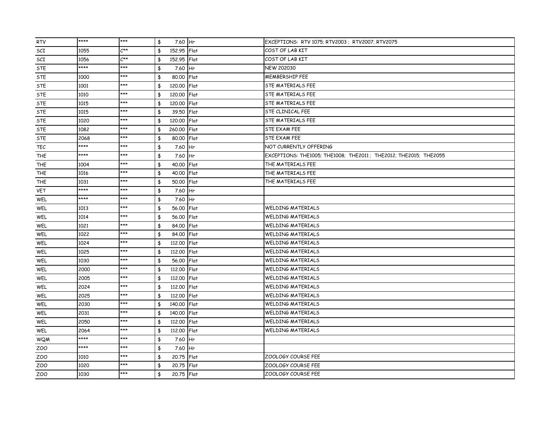| <b>RTV</b> | **** | $***$            | 7.60 Hr<br>\$                | EXCEPTIONS: RTV 1075; RTV2003 ; RTV2007; RTV2075                 |
|------------|------|------------------|------------------------------|------------------------------------------------------------------|
| SCI        | 1055 | $C^{\star\star}$ | \$<br>152.95 Flat            | COST OF LAB KIT                                                  |
| SCI        | 1056 | $C^{\star\star}$ | \$<br>152.95 Flat            | COST OF LAB KIT                                                  |
| <b>STE</b> | **** | $***$            | \$<br>7.60 Hr                | <b>NEW 202030</b>                                                |
| <b>STE</b> | 1000 | ***              | \$<br>80,00 Flat             | <b>MEMBERSHIP FEE</b>                                            |
| <b>STE</b> | 1001 | ***              | \$<br>120,00 Flat            | <b>STE MATERIALS FEE</b>                                         |
| STE        | 1010 | ***              | \$<br>120,00 Flat            | <b>STE MATERIALS FEE</b>                                         |
| STE        | 1015 | ***              | \$<br>120,00 Flat            | <b>STE MATERIALS FEE</b>                                         |
| <b>STE</b> | 1015 | $***$            | \$<br>39.50 Flat             | STE CLINICAL FEE                                                 |
| STE        | 1020 | ***              | \$<br>120,00 Flat            | <b>STE MATERIALS FEE</b>                                         |
| STE        | 1082 | ***              | \$<br>260,00 Flat            | STE EXAM FEE                                                     |
| <b>STE</b> | 2068 | ***              | \$<br>80.00 Flat             | STE EXAM FEE                                                     |
| TEC        | **** | ***              | \$<br>7.60 Hr                | NOT CURRENTLY OFFERING                                           |
| <b>THE</b> | **** | ***              | \$<br>7.60 Hr                | EXCEPTIONS: THE1005; THE1008; THE2011; THE2012; THE2015; THE2055 |
| <b>THE</b> | 1004 | ***              | \$<br>40.00 Flat             | THE MATERIALS FEE                                                |
| <b>THE</b> | 1016 | ***              | \$<br>40.00 Flat             | THE MATERIALS FEE                                                |
| <b>THE</b> | 1031 | ***              | \$<br>50.00 Flat             | THE MATERIALS FEE                                                |
| <b>VET</b> | **** | ***              | \$<br>7.60 Hr                |                                                                  |
| WEL        | **** | ***              | \$<br>7.60 Hr                |                                                                  |
| WEL        | 1013 | ***              | \$<br>56.00 Flat             | <b>WELDING MATERIALS</b>                                         |
| WEL        | 1014 | ***              | \$<br>56.00 Flat             | <b>WELDING MATERIALS</b>                                         |
| WEL        | 1021 | $***$            | \$<br>84.00 Flat             | <b>WELDING MATERIALS</b>                                         |
| WEL        | 1022 | ***              | \$<br>84.00 Flat             | <b>WELDING MATERIALS</b>                                         |
| WEL        | 1024 | ***              | \$<br>112,00 Flat            | <b>WELDING MATERIALS</b>                                         |
| WEL        | 1025 | ***              | $\frac{4}{3}$<br>112.00 Flat | <b>WELDING MATERIALS</b>                                         |
| WEL        | 1030 | ***              | \$<br>56.00 Flat             | <b>WELDING MATERIALS</b>                                         |
| WEL        | 2000 | ***              | \$<br>112.00 Flat            | <b>WELDING MATERIALS</b>                                         |
| WEL        | 2005 | ***              | \$<br>112.00 Flat            | <b>WELDING MATERIALS</b>                                         |
| WEL        | 2024 | ***              | \$<br>112,00 Flat            | <b>WELDING MATERIALS</b>                                         |
| WEL        | 2025 | ***              | \$<br>112,00 Flat            | <b>WELDING MATERIALS</b>                                         |
| WEL        | 2030 | ***              | \$<br>140.00 Flat            | <b>WELDING MATERIALS</b>                                         |
| WEL        | 2031 | ***              | \$<br>140.00 Flat            | <b>WELDING MATERIALS</b>                                         |
| WEL        | 2050 | ***              | \$<br>112,00 Flat            | <b>WELDING MATERIALS</b>                                         |
| WEL        | 2064 | ***              | \$<br>112,00 Flat            | <b>WELDING MATERIALS</b>                                         |
| WQM        | **** | ***              | 7.60 Hr<br>\$                |                                                                  |
| ZOO        | **** | ***              | \$<br>7.60 Hr                |                                                                  |
| ZOO        | 1010 | ***              | \$<br>20.75 Flat             | ZOOLOGY COURSE FEE                                               |
| ZOO        | 1020 | ***              | \$<br>20.75 Flat             | ZOOLOGY COURSE FEE                                               |
| ZOO        | 1030 | ***              | $\frac{4}{3}$<br>20.75 Flat  | ZOOLOGY COURSE FEE                                               |